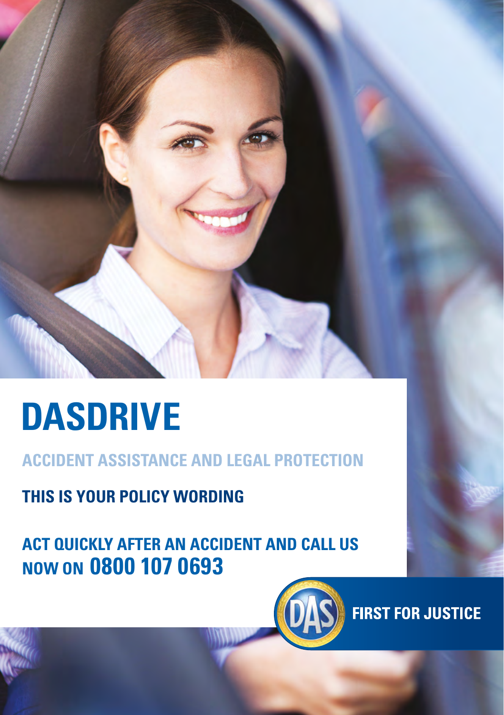

# **DASDRIVE**

**ACCIDENT ASSISTANCE AND LEGAL PROTECTION**

**THIS IS YOUR POLICY WORDING**

**ACT QUICKLY AFTER AN ACCIDENT AND CALL US NOW ON 0800 107 0693**



**FIRST FOR JUSTICE**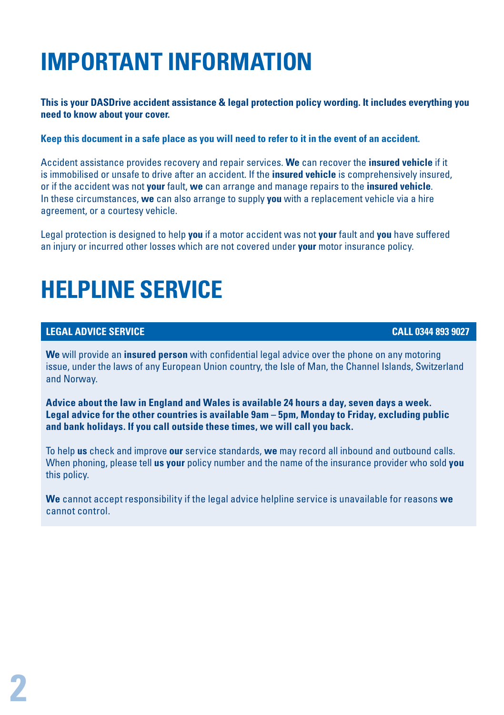## **IMPORTANT INFORMATION**

**This is your DASDrive accident assistance & legal protection policy wording. It includes everything you need to know about your cover.**

**Keep this document in a safe place as you will need to refer to it in the event of an accident.**

Accident assistance provides recovery and repair services. **We** can recover the **insured vehicle** if it is immobilised or unsafe to drive after an accident. If the **insured vehicle** is comprehensively insured, or if the accident was not **your** fault, **we** can arrange and manage repairs to the **insured vehicle**. In these circumstances, **we** can also arrange to supply **you** with a replacement vehicle via a hire agreement, or a courtesy vehicle.

Legal protection is designed to help **you** if a motor accident was not **your** fault and **you** have suffered an injury or incurred other losses which are not covered under **your** motor insurance policy.

## **HELPLINE SERVICE**

#### **LEGAL ADVICE SERVICE CALL 0344 893 9027**

**We** will provide an **insured person** with confidential legal advice over the phone on any motoring issue, under the laws of any European Union country, the Isle of Man, the Channel Islands, Switzerland and Norway.

**Advice about the law in England and Wales is available 24 hours a day, seven days a week. Legal advice for the other countries is available 9am – 5pm, Monday to Friday, excluding public and bank holidays. If you call outside these times, we will call you back.** 

To help **us** check and improve **our** service standards, **we** may record all inbound and outbound calls. When phoning, please tell **us your** policy number and the name of the insurance provider who sold **you** this policy.

**We** cannot accept responsibility if the legal advice helpline service is unavailable for reasons **we** cannot control.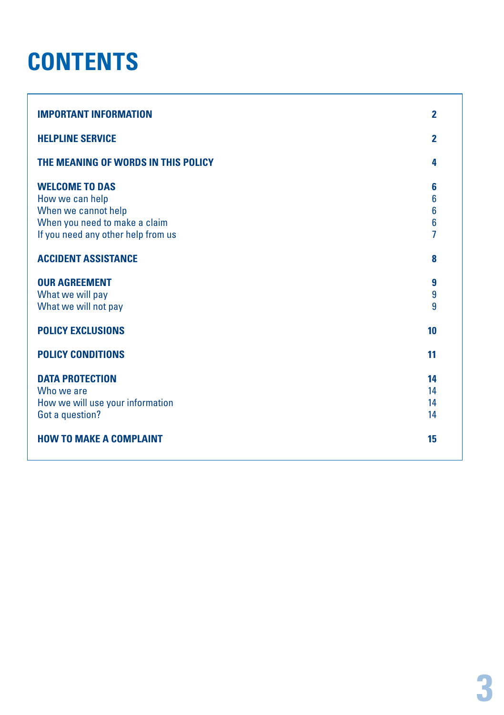### **CONTENTS**

| <b>IMPORTANT INFORMATION</b>                                                                                                                                                                 | $\overline{2}$                                    |
|----------------------------------------------------------------------------------------------------------------------------------------------------------------------------------------------|---------------------------------------------------|
| <b>HELPLINE SERVICE</b>                                                                                                                                                                      | $\overline{2}$                                    |
| THE MEANING OF WORDS IN THIS POLICY                                                                                                                                                          | 4                                                 |
| <b>WELCOME TO DAS</b><br>How we can help<br>When we cannot help<br>When you need to make a claim<br>If you need any other help from us<br><b>ACCIDENT ASSISTANCE</b><br><b>OUR AGREEMENT</b> | 6<br>6<br>6<br>6<br>$\overline{1}$<br>8<br>9<br>9 |
| What we will pay<br>What we will not pay                                                                                                                                                     | 9                                                 |
| <b>POLICY EXCLUSIONS</b>                                                                                                                                                                     | 10                                                |
| <b>POLICY CONDITIONS</b>                                                                                                                                                                     | 11                                                |
| <b>DATA PROTECTION</b><br>Who we are<br>How we will use your information<br>Got a question?<br><b>HOW TO MAKE A COMPLAINT</b>                                                                | 14<br>14<br>14<br>14<br>15                        |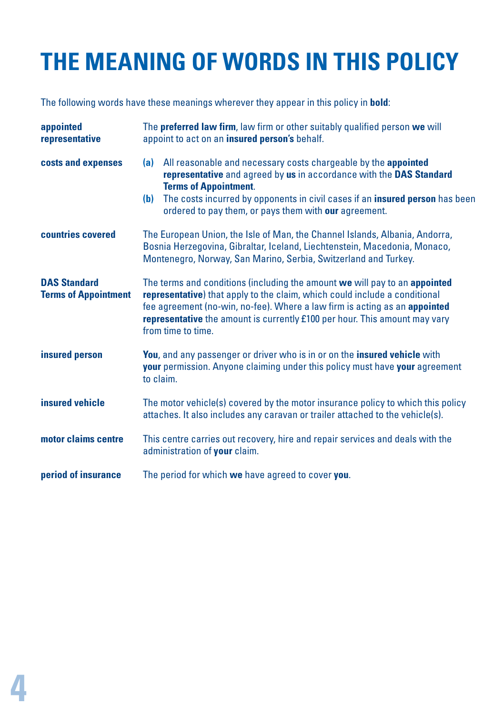## **THE MEANING OF WORDS IN THIS POLICY**

The following words have these meanings wherever they appear in this policy in **bold**:

| appointed<br>representative                        | The <b>preferred law firm</b> , law firm or other suitably qualified person we will<br>appoint to act on an insured person's behalf.                                                                                                                                                                                                               |  |
|----------------------------------------------------|----------------------------------------------------------------------------------------------------------------------------------------------------------------------------------------------------------------------------------------------------------------------------------------------------------------------------------------------------|--|
| costs and expenses                                 | All reasonable and necessary costs chargeable by the appointed<br>(a)<br>representative and agreed by us in accordance with the DAS Standard<br><b>Terms of Appointment.</b><br>The costs incurred by opponents in civil cases if an insured person has been<br>(b)<br>ordered to pay them, or pays them with our agreement.                       |  |
| countries covered                                  | The European Union, the Isle of Man, the Channel Islands, Albania, Andorra,<br>Bosnia Herzegovina, Gibraltar, Iceland, Liechtenstein, Macedonia, Monaco,<br>Montenegro, Norway, San Marino, Serbia, Switzerland and Turkey.                                                                                                                        |  |
| <b>DAS Standard</b><br><b>Terms of Appointment</b> | The terms and conditions (including the amount we will pay to an appointed<br><b>representative</b> ) that apply to the claim, which could include a conditional<br>fee agreement (no-win, no-fee). Where a law firm is acting as an appointed<br>representative the amount is currently £100 per hour. This amount may vary<br>from time to time. |  |
| insured person                                     | <b>You</b> , and any passenger or driver who is in or on the <b>insured vehicle</b> with<br><b>your</b> permission. Anyone claiming under this policy must have your agreement<br>to claim.                                                                                                                                                        |  |
| insured vehicle                                    | The motor vehicle(s) covered by the motor insurance policy to which this policy<br>attaches. It also includes any caravan or trailer attached to the vehicle(s).                                                                                                                                                                                   |  |
| motor claims centre                                | This centre carries out recovery, hire and repair services and deals with the<br>administration of your claim.                                                                                                                                                                                                                                     |  |
| period of insurance                                | The period for which we have agreed to cover you.                                                                                                                                                                                                                                                                                                  |  |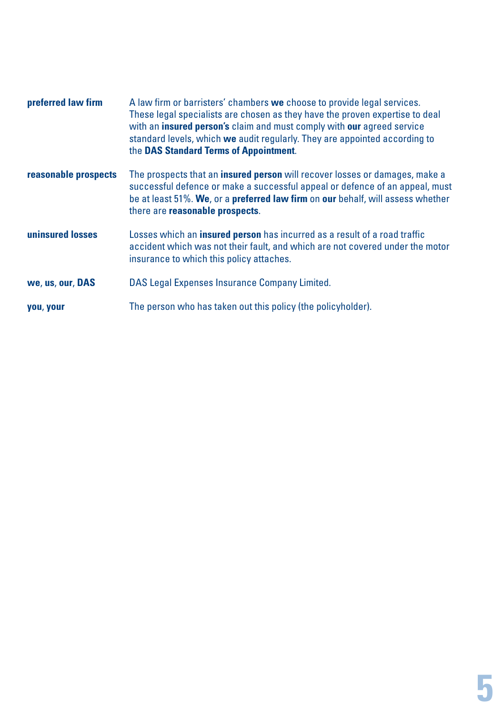| preferred law firm   | A law firm or barristers' chambers we choose to provide legal services.<br>These legal specialists are chosen as they have the proven expertise to deal<br>with an insured person's claim and must comply with our agreed service<br>standard levels, which we audit regularly. They are appointed according to<br>the DAS Standard Terms of Appointment. |
|----------------------|-----------------------------------------------------------------------------------------------------------------------------------------------------------------------------------------------------------------------------------------------------------------------------------------------------------------------------------------------------------|
| reasonable prospects | The prospects that an <b>insured person</b> will recover losses or damages, make a<br>successful defence or make a successful appeal or defence of an appeal, must<br>be at least 51%. We, or a preferred law firm on our behalf, will assess whether<br>there are reasonable prospects.                                                                  |
| uninsured losses     | Losses which an <b>insured person</b> has incurred as a result of a road traffic<br>accident which was not their fault, and which are not covered under the motor<br>insurance to which this policy attaches.                                                                                                                                             |
| we, us, our, DAS     | DAS Legal Expenses Insurance Company Limited.                                                                                                                                                                                                                                                                                                             |
| you, your            | The person who has taken out this policy (the policyholder).                                                                                                                                                                                                                                                                                              |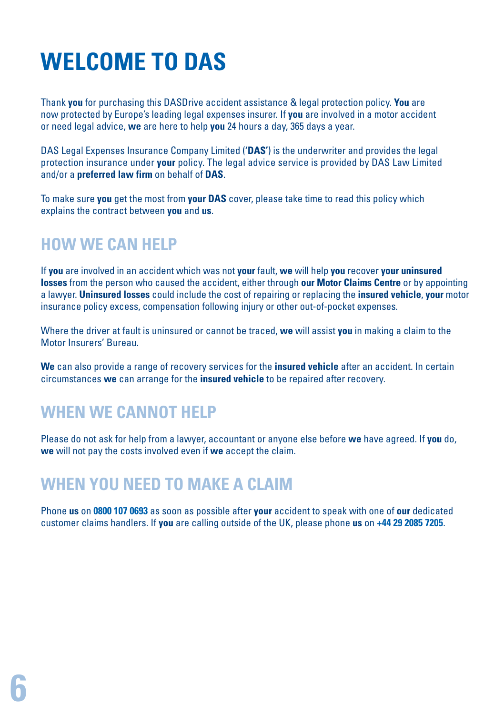## **WELCOME TO DAS**

Thank **you** for purchasing this DASDrive accident assistance & legal protection policy. **You** are now protected by Europe's leading legal expenses insurer. If **you** are involved in a motor accident or need legal advice, **we** are here to help **you** 24 hours a day, 365 days a year.

DAS Legal Expenses Insurance Company Limited (**'DAS'**) is the underwriter and provides the legal protection insurance under **your** policy. The legal advice service is provided by DAS Law Limited and/or a **preferred law firm** on behalf of **DAS**.

To make sure **you** get the most from **your DAS** cover, please take time to read this policy which explains the contract between **you** and **us**.

### **HOW WE CAN HELP**

If **you** are involved in an accident which was not **your** fault, **we** will help **you** recover **your uninsured losses** from the person who caused the accident, either through **our Motor Claims Centre** or by appointing a lawyer. **Uninsured losses** could include the cost of repairing or replacing the **insured vehicle**, **your** motor insurance policy excess, compensation following injury or other out-of-pocket expenses.

Where the driver at fault is uninsured or cannot be traced, **we** will assist **you** in making a claim to the Motor Insurers' Bureau.

**We** can also provide a range of recovery services for the **insured vehicle** after an accident. In certain circumstances **we** can arrange for the **insured vehicle** to be repaired after recovery.

### **WHEN WE CANNOT HELP**

Please do not ask for help from a lawyer, accountant or anyone else before **we** have agreed. If **you** do, **we** will not pay the costs involved even if **we** accept the claim.

### **WHEN YOU NEED TO MAKE A CLAIM**

Phone **us** on **0800 107 0693** as soon as possible after **your** accident to speak with one of **our** dedicated customer claims handlers. If **you** are calling outside of the UK, please phone **us** on **+44 29 2085 7205**.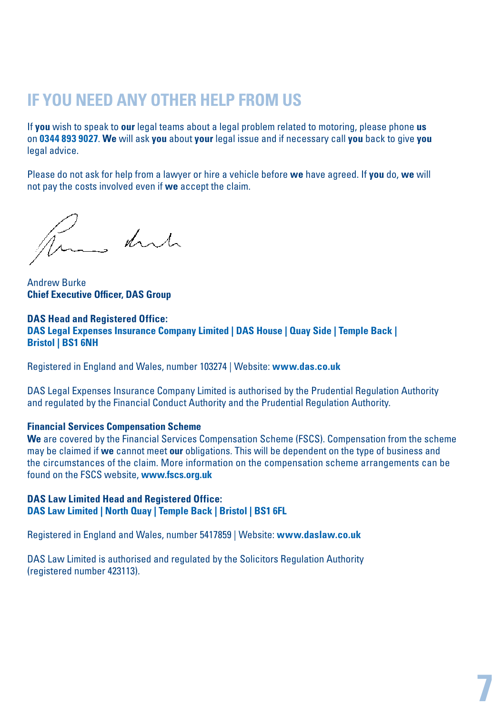### **IF YOU NEED ANY OTHER HELP FROM US**

If **you** wish to speak to **our** legal teams about a legal problem related to motoring, please phone **us** on **0344 893 9027**. **We** will ask **you** about **your** legal issue and if necessary call **you** back to give **you** legal advice.

Please do not ask for help from a lawyer or hire a vehicle before **we** have agreed. If **you** do, **we** will not pay the costs involved even if **we** accept the claim.

True dute

Andrew Burke **Chief Executive Officer, DAS Group**

#### **DAS Head and Registered Office: DAS Legal Expenses Insurance Company Limited | DAS House | Quay Side | Temple Back | Bristol | BS1 6NH**

Registered in England and Wales, number 103274 | Website: **www.das.co.uk**

DAS Legal Expenses Insurance Company Limited is authorised by the Prudential Regulation Authority and regulated by the Financial Conduct Authority and the Prudential Regulation Authority.

#### **Financial Services Compensation Scheme**

**We** are covered by the Financial Services Compensation Scheme (FSCS). Compensation from the scheme may be claimed if **we** cannot meet **our** obligations. This will be dependent on the type of business and the circumstances of the claim. More information on the compensation scheme arrangements can be found on the FSCS website, **www.fscs.org.uk**

#### **DAS Law Limited Head and Registered Office: DAS Law Limited | North Quay | Temple Back | Bristol | BS1 6FL**

Registered in England and Wales, number 5417859 | Website: **www.daslaw.co.uk**

DAS Law Limited is authorised and regulated by the Solicitors Regulation Authority (registered number 423113).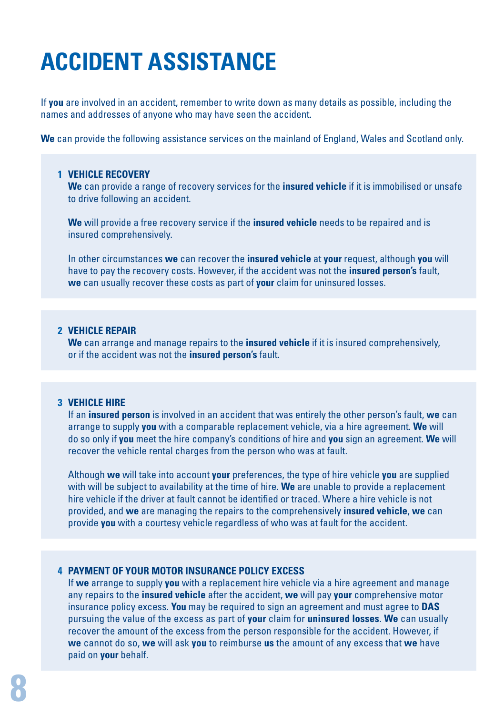## **ACCIDENT ASSISTANCE**

If **you** are involved in an accident, remember to write down as many details as possible, including the names and addresses of anyone who may have seen the accident.

**We** can provide the following assistance services on the mainland of England, Wales and Scotland only.

#### **1 VEHICLE RECOVERY**

 **We** can provide a range of recovery services for the **insured vehicle** if it is immobilised or unsafe to drive following an accident.

 **We** will provide a free recovery service if the **insured vehicle** needs to be repaired and is insured comprehensively.

 In other circumstances **we** can recover the **insured vehicle** at **your** request, although **you** will have to pay the recovery costs. However, if the accident was not the **insured person's** fault, **we** can usually recover these costs as part of **your** claim for uninsured losses.

#### **2 VEHICLE REPAIR**

 **We** can arrange and manage repairs to the **insured vehicle** if it is insured comprehensively, or if the accident was not the **insured person's** fault.

#### **3 VEHICLE HIRE**

 If an **insured person** is involved in an accident that was entirely the other person's fault, **we** can arrange to supply **you** with a comparable replacement vehicle, via a hire agreement. **We** will do so only if **you** meet the hire company's conditions of hire and **you** sign an agreement. **We** will recover the vehicle rental charges from the person who was at fault.

 Although **we** will take into account **your** preferences, the type of hire vehicle **you** are supplied with will be subject to availability at the time of hire. **We** are unable to provide a replacement hire vehicle if the driver at fault cannot be identified or traced. Where a hire vehicle is not provided, and **we** are managing the repairs to the comprehensively **insured vehicle**, **we** can provide **you** with a courtesy vehicle regardless of who was at fault for the accident.

#### **4 PAYMENT OF YOUR MOTOR INSURANCE POLICY EXCESS**

 If **we** arrange to supply **you** with a replacement hire vehicle via a hire agreement and manage any repairs to the **insured vehicle** after the accident, **we** will pay **your** comprehensive motor insurance policy excess. **You** may be required to sign an agreement and must agree to **DAS** pursuing the value of the excess as part of **your** claim for **uninsured losses**. **We** can usually recover the amount of the excess from the person responsible for the accident. However, if **we** cannot do so, **we** will ask **you** to reimburse **us** the amount of any excess that **we** have paid on **your** behalf.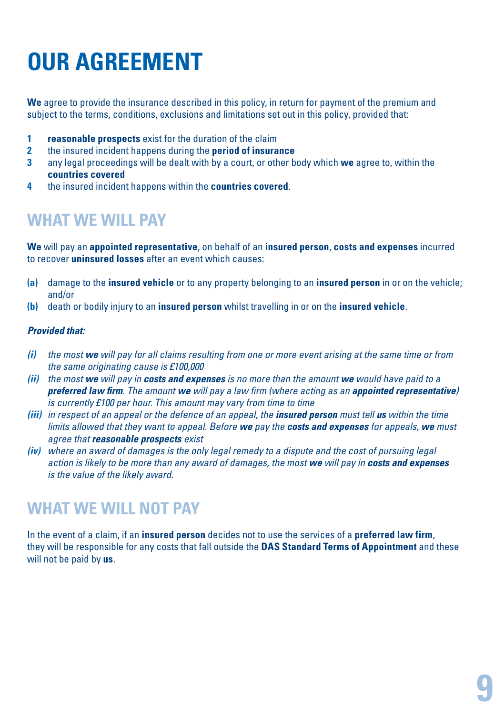## **OUR AGREEMENT**

**We** agree to provide the insurance described in this policy, in return for payment of the premium and subject to the terms, conditions, exclusions and limitations set out in this policy, provided that:

- **1 reasonable prospects** exist for the duration of the claim
- **2** the insured incident happens during the **period of insurance**
- **3** any legal proceedings will be dealt with by a court, or other body which **we** agree to, within the **countries covered**
- **4** the insured incident happens within the **countries covered**.

### **WHAT WE WILL PAY**

**We** will pay an **appointed representative**, on behalf of an **insured person**, **costs and expenses** incurred to recover **uninsured losses** after an event which causes:

- **(a)** damage to the **insured vehicle** or to any property belonging to an **insured person** in or on the vehicle; and/or
- **(b)** death or bodily injury to an **insured person** whilst travelling in or on the **insured vehicle**.

#### *Provided that:*

- *(i) the most we will pay for all claims resulting from one or more event arising at the same time or from the same originating cause is £100,000*
- *(ii) the most we will pay in costs and expenses is no more than the amount we would have paid to a preferred law firm. The amount we will pay a law firm (where acting as an appointed representative) is currently £100 per hour. This amount may vary from time to time*
- *(iii) in respect of an appeal or the defence of an appeal, the insured person must tell us within the time limits allowed that they want to appeal. Before we pay the costs and expenses for appeals, we must agree that reasonable prospects exist*
- *(iv) where an award of damages is the only legal remedy to a dispute and the cost of pursuing legal action is likely to be more than any award of damages, the most we will pay in costs and expenses is the value of the likely award.*

### **WHAT WE WILL NOT PAY**

In the event of a claim, if an **insured person** decides not to use the services of a **preferred law firm**, they will be responsible for any costs that fall outside the **DAS Standard Terms of Appointment** and these will not be paid by **us**.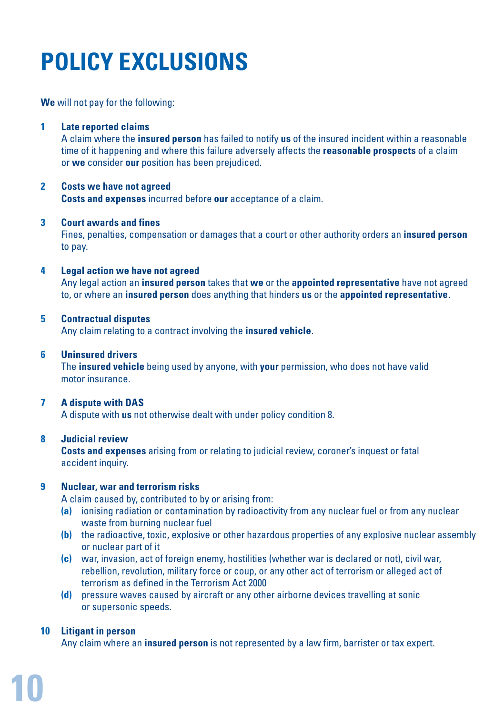## **POLICY EXCLUSIONS**

**We** will not pay for the following:

#### **1 Late reported claims**

 A claim where the **insured person** has failed to notify **us** of the insured incident within a reasonable time of it happening and where this failure adversely affects the **reasonable prospects** of a claim or **we** consider **our** position has been prejudiced.

#### **2 Costs we have not agreed**

**Costs and expenses** incurred before **our** acceptance of a claim.

#### **3 Court awards and fines**

 Fines, penalties, compensation or damages that a court or other authority orders an **insured person** to pay.

#### **4 Legal action we have not agreed**

 Any legal action an **insured person** takes that **we** or the **appointed representative** have not agreed to, or where an **insured person** does anything that hinders **us** or the **appointed representative**.

#### **5 Contractual disputes**

Any claim relating to a contract involving the **insured vehicle**.

#### **6 Uninsured drivers**

 The **insured vehicle** being used by anyone, with **your** permission, who does not have valid motor insurance.

#### **7 A dispute with DAS**

A dispute with **us** not otherwise dealt with under policy condition 8.

#### **8 Judicial review**

**Costs and expenses** arising from or relating to judicial review, coroner's inquest or fatal accident inquiry.

#### **9 Nuclear, war and terrorism risks**

A claim caused by, contributed to by or arising from:

- **(a)** ionising radiation or contamination by radioactivity from any nuclear fuel or from any nuclear waste from burning nuclear fuel
- **(b)** the radioactive, toxic, explosive or other hazardous properties of any explosive nuclear assembly or nuclear part of it
- **(c)** war, invasion, act of foreign enemy, hostilities (whether war is declared or not), civil war, rebellion, revolution, military force or coup, or any other act of terrorism or alleged act of terrorism as defined in the Terrorism Act 2000
- **(d)** pressure waves caused by aircraft or any other airborne devices travelling at sonic or supersonic speeds.

#### **10 Litigant in person**

Any claim where an **insured person** is not represented by a law firm, barrister or tax expert.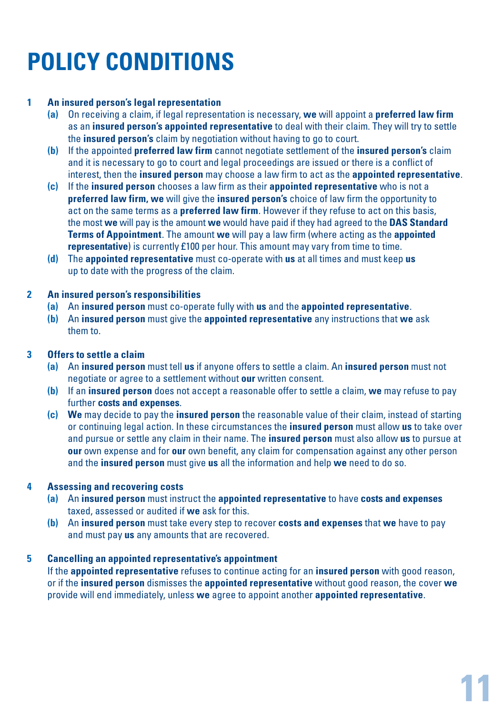## **POLICY CONDITIONS**

#### **1 An insured person's legal representation**

- **(a)** On receiving a claim, if legal representation is necessary, **we** will appoint a **preferred law firm** as an **insured person's appointed representative** to deal with their claim. They will try to settle the **insured person's** claim by negotiation without having to go to court.
- **(b)** If the appointed **preferred law firm** cannot negotiate settlement of the **insured person's** claim and it is necessary to go to court and legal proceedings are issued or there is a conflict of interest, then the **insured person** may choose a law firm to act as the **appointed representative**.
- **(c)** If the **insured person** chooses a law firm as their **appointed representative** who is not a **preferred law firm, we** will give the **insured person's** choice of law firm the opportunity to act on the same terms as a **preferred law firm**. However if they refuse to act on this basis, the most **we** will pay is the amount **we** would have paid if they had agreed to the **DAS Standard Terms of Appointment**. The amount **we** will pay a law firm (where acting as the **appointed representative**) is currently £100 per hour. This amount may vary from time to time.
- **(d)** The **appointed representative** must co-operate with **us** at all times and must keep **us** up to date with the progress of the claim.

#### **2 An insured person's responsibilities**

- **(a)** An **insured person** must co-operate fully with **us** and the **appointed representative**.
- **(b)** An **insured person** must give the **appointed representative** any instructions that **we** ask them to.

#### **3 Offers to settle a claim**

- **(a)** An **insured person** must tell **us** if anyone offers to settle a claim. An **insured person** must not negotiate or agree to a settlement without **our** written consent.
- **(b)** If an **insured person** does not accept a reasonable offer to settle a claim, **we** may refuse to pay further **costs and expenses**.
- **(c) We** may decide to pay the **insured person** the reasonable value of their claim, instead of starting or continuing legal action. In these circumstances the **insured person** must allow **us** to take over and pursue or settle any claim in their name. The **insured person** must also allow **us** to pursue at **our** own expense and for **our** own benefit, any claim for compensation against any other person and the **insured person** must give **us** all the information and help **we** need to do so.

#### **4 Assessing and recovering costs**

- **(a)** An **insured person** must instruct the **appointed representative** to have **costs and expenses** taxed, assessed or audited if **we** ask for this.
- **(b)** An **insured person** must take every step to recover **costs and expenses** that **we** have to pay and must pay **us** any amounts that are recovered.

#### **5 Cancelling an appointed representative's appointment**

 If the **appointed representative** refuses to continue acting for an **insured person** with good reason, or if the **insured person** dismisses the **appointed representative** without good reason, the cover **we** provide will end immediately, unless **we** agree to appoint another **appointed representative**.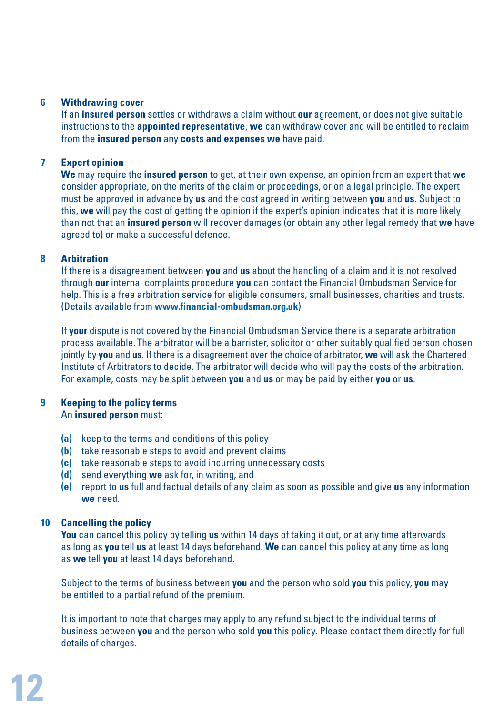#### **6 Withdrawing cover**

 If an **insured person** settles or withdraws a claim without **our** agreement, or does not give suitable instructions to the **appointed representative**, **we** can withdraw cover and will be entitled to reclaim from the **insured person** any **costs and expenses we** have paid.

#### **7 Expert opinion**

 **We** may require the **insured person** to get, at their own expense, an opinion from an expert that **we** consider appropriate, on the merits of the claim or proceedings, or on a legal principle. The expert must be approved in advance by **us** and the cost agreed in writing between **you** and **us**. Subject to this, **we** will pay the cost of getting the opinion if the expert's opinion indicates that it is more likely than not that an **insured person** will recover damages (or obtain any other legal remedy that **we** have agreed to) or make a successful defence.

#### **8 Arbitration**

 If there is a disagreement between **you** and **us** about the handling of a claim and it is not resolved through **our** internal complaints procedure **you** can contact the Financial Ombudsman Service for help. This is a free arbitration service for eligible consumers, small businesses, charities and trusts. (Details available from **www.financial-ombudsman.org.uk**)

 If **your** dispute is not covered by the Financial Ombudsman Service there is a separate arbitration process available. The arbitrator will be a barrister, solicitor or other suitably qualified person chosen jointly by **you** and **us**. If there is a disagreement over the choice of arbitrator, **we** will ask the Chartered Institute of Arbitrators to decide. The arbitrator will decide who will pay the costs of the arbitration. For example, costs may be split between **you** and **us** or may be paid by either **you** or **us**.

### **9 Keeping to the policy terms**

#### An **insured person** must:

- **(a)** keep to the terms and conditions of this policy
- **(b)** take reasonable steps to avoid and prevent claims
- **(c)** take reasonable steps to avoid incurring unnecessary costs
- **(d)** send everything **we** ask for, in writing, and
- **(e)** report to **us** full and factual details of any claim as soon as possible and give **us** any information **we** need.

#### **10 Cancelling the policy**

 **You** can cancel this policy by telling **us** within 14 days of taking it out, or at any time afterwards as long as **you** tell **us** at least 14 days beforehand. **We** can cancel this policy at any time as long as **we** tell **you** at least 14 days beforehand.

 Subject to the terms of business between **you** and the person who sold **you** this policy, **you** may be entitled to a partial refund of the premium.

 It is important to note that charges may apply to any refund subject to the individual terms of business between **you** and the person who sold **you** this policy. Please contact them directly for full details of charges.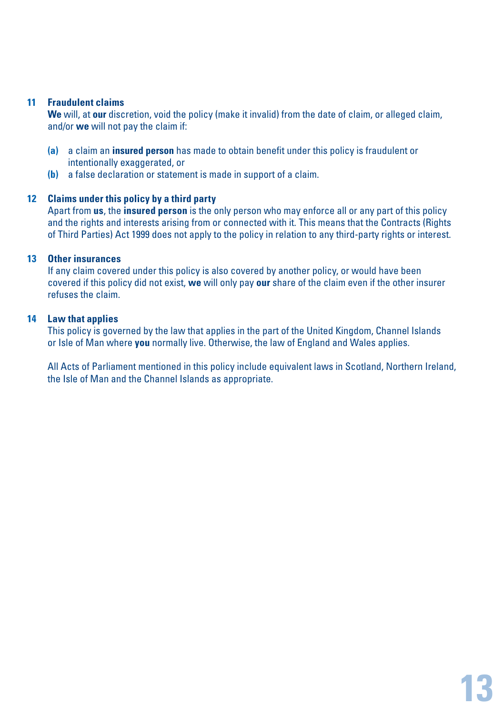#### **11 Fraudulent claims**

 **We** will, at **our** discretion, void the policy (make it invalid) from the date of claim, or alleged claim, and/or **we** will not pay the claim if:

- **(a)** a claim an **insured person** has made to obtain benefit under this policy is fraudulent or intentionally exaggerated, or
- **(b)** a false declaration or statement is made in support of a claim.

#### **12 Claims under this policy by a third party**

 Apart from **us**, the **insured person** is the only person who may enforce all or any part of this policy and the rights and interests arising from or connected with it. This means that the Contracts (Rights of Third Parties) Act 1999 does not apply to the policy in relation to any third-party rights or interest.

#### **13 Other insurances**

 If any claim covered under this policy is also covered by another policy, or would have been covered if this policy did not exist, **we** will only pay **our** share of the claim even if the other insurer refuses the claim.

#### **14 Law that applies**

 This policy is governed by the law that applies in the part of the United Kingdom, Channel Islands or Isle of Man where **you** normally live. Otherwise, the law of England and Wales applies.

 All Acts of Parliament mentioned in this policy include equivalent laws in Scotland, Northern Ireland, the Isle of Man and the Channel Islands as appropriate.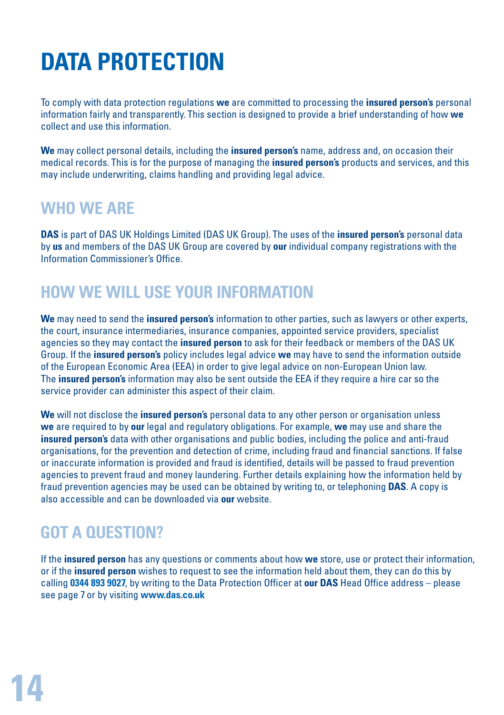## **DATA PROTECTION**

To comply with data protection regulations **we** are committed to processing the **insured person's** personal information fairly and transparently. This section is designed to provide a brief understanding of how **we** collect and use this information.

**We** may collect personal details, including the **insured person's** name, address and, on occasion their medical records. This is for the purpose of managing the **insured person's** products and services, and this may include underwriting, claims handling and providing legal advice.

### **WHO WE ARE**

**DAS** is part of DAS UK Holdings Limited (DAS UK Group). The uses of the **insured person's** personal data by **us** and members of the DAS UK Group are covered by **our** individual company registrations with the Information Commissioner's Office.

### **HOW WE WILL USE YOUR INFORMATION**

**We** may need to send the **insured person's** information to other parties, such as lawyers or other experts, the court, insurance intermediaries, insurance companies, appointed service providers, specialist agencies so they may contact the **insured person** to ask for their feedback or members of the DAS UK Group. If the **insured person's** policy includes legal advice **we** may have to send the information outside of the European Economic Area (EEA) in order to give legal advice on non-European Union law. The **insured person's** information may also be sent outside the EEA if they require a hire car so the service provider can administer this aspect of their claim.

**We** will not disclose the **insured person's** personal data to any other person or organisation unless **we** are required to by **our** legal and regulatory obligations. For example, **we** may use and share the **insured person's** data with other organisations and public bodies, including the police and anti-fraud organisations, for the prevention and detection of crime, including fraud and financial sanctions. If false or inaccurate information is provided and fraud is identified, details will be passed to fraud prevention agencies to prevent fraud and money laundering. Further details explaining how the information held by fraud prevention agencies may be used can be obtained by writing to, or telephoning **DAS**. A copy is also accessible and can be downloaded via **our** website.

### **GOT A QUESTION?**

If the **insured person** has any questions or comments about how **we** store, use or protect their information, or if the **insured person** wishes to request to see the information held about them, they can do this by calling **0344 893 9027**, by writing to the Data Protection Officer at **our DAS** Head Office address – please see page 7 or by visiting **www.das.co.uk**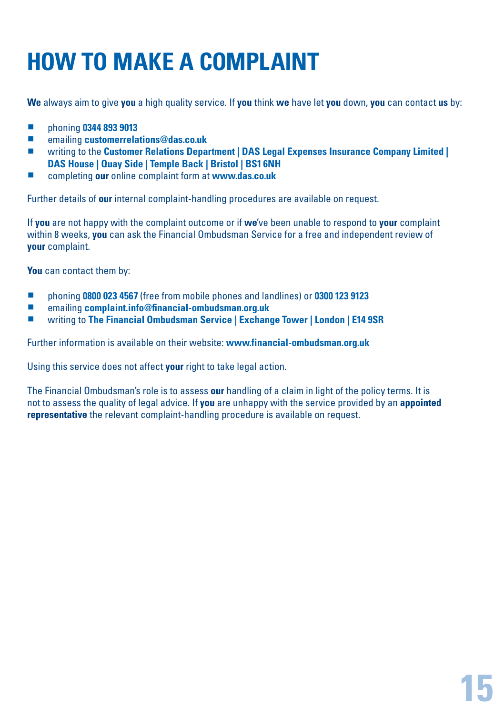## **HOW TO MAKE A COMPLAINT**

**We** always aim to give **you** a high quality service. If **you** think **we** have let **you** down, **you** can contact **us** by:

- **phoning 0344 893 9013**
- **emailing customerrelations@das.co.uk**<br>■ *writing to the Customer Belations Dana*
- writing to the **Customer Relations Department | DAS Legal Expenses Insurance Company Limited | DAS House | Quay Side | Temple Back | Bristol | BS1 6NH**
- completing **our** online complaint form at **www.das.co.uk**

Further details of **our** internal complaint-handling procedures are available on request.

If **you** are not happy with the complaint outcome or if **we**'ve been unable to respond to **your** complaint within 8 weeks, **you** can ask the Financial Ombudsman Service for a free and independent review of **your** complaint.

**You** can contact them by:

- phoning **0800 023 4567** (free from mobile phones and landlines) or **0300 123 9123**<br>■ emailing complaint info@financial.ombudsman.org.uk
- emailing **complaint.info@financial-ombudsman.org.uk**
- writing to **The Financial Ombudsman Service | Exchange Tower | London | E14 9SR**

Further information is available on their website: **www.financial-ombudsman.org.uk**

Using this service does not affect **your** right to take legal action.

The Financial Ombudsman's role is to assess **our** handling of a claim in light of the policy terms. It is not to assess the quality of legal advice. If **you** are unhappy with the service provided by an **appointed representative** the relevant complaint-handling procedure is available on request.